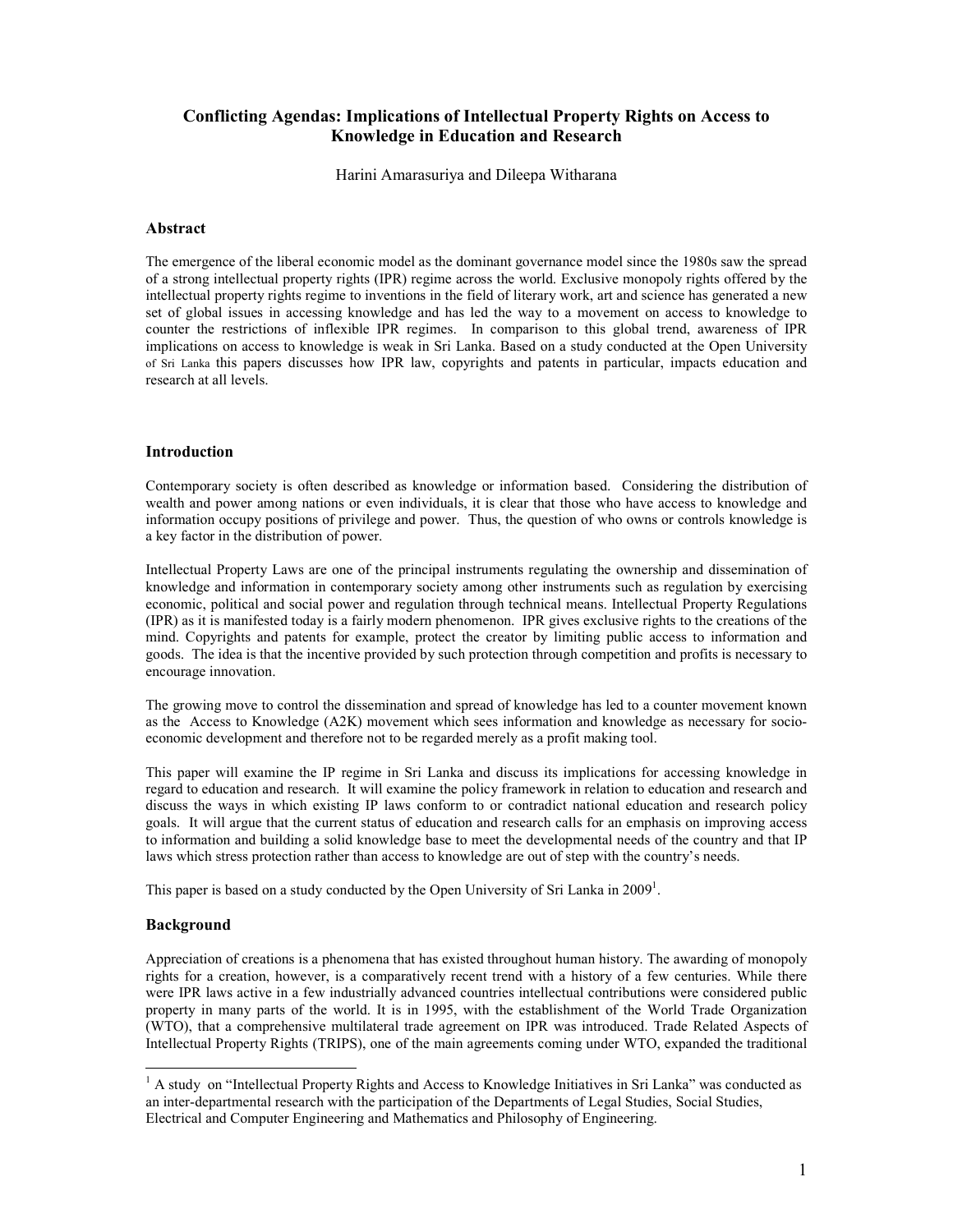# Conflicting Agendas: Implications of Intellectual Property Rights on Access to Knowledge in Education and Research

Harini Amarasuriya and Dileepa Witharana

#### Abstract

The emergence of the liberal economic model as the dominant governance model since the 1980s saw the spread of a strong intellectual property rights (IPR) regime across the world. Exclusive monopoly rights offered by the intellectual property rights regime to inventions in the field of literary work, art and science has generated a new set of global issues in accessing knowledge and has led the way to a movement on access to knowledge to counter the restrictions of inflexible IPR regimes. In comparison to this global trend, awareness of IPR implications on access to knowledge is weak in Sri Lanka. Based on a study conducted at the Open University of Sri Lanka this papers discusses how IPR law, copyrights and patents in particular, impacts education and research at all levels.

#### Introduction

Contemporary society is often described as knowledge or information based. Considering the distribution of wealth and power among nations or even individuals, it is clear that those who have access to knowledge and information occupy positions of privilege and power. Thus, the question of who owns or controls knowledge is a key factor in the distribution of power.

Intellectual Property Laws are one of the principal instruments regulating the ownership and dissemination of knowledge and information in contemporary society among other instruments such as regulation by exercising economic, political and social power and regulation through technical means. Intellectual Property Regulations (IPR) as it is manifested today is a fairly modern phenomenon. IPR gives exclusive rights to the creations of the mind. Copyrights and patents for example, protect the creator by limiting public access to information and goods. The idea is that the incentive provided by such protection through competition and profits is necessary to encourage innovation.

The growing move to control the dissemination and spread of knowledge has led to a counter movement known as the Access to Knowledge (A2K) movement which sees information and knowledge as necessary for socioeconomic development and therefore not to be regarded merely as a profit making tool.

This paper will examine the IP regime in Sri Lanka and discuss its implications for accessing knowledge in regard to education and research. It will examine the policy framework in relation to education and research and discuss the ways in which existing IP laws conform to or contradict national education and research policy goals. It will argue that the current status of education and research calls for an emphasis on improving access to information and building a solid knowledge base to meet the developmental needs of the country and that IP laws which stress protection rather than access to knowledge are out of step with the country's needs.

This paper is based on a study conducted by the Open University of Sri Lanka in 2009<sup>1</sup>.

#### Background

 $\ddot{ }$ 

Appreciation of creations is a phenomena that has existed throughout human history. The awarding of monopoly rights for a creation, however, is a comparatively recent trend with a history of a few centuries. While there were IPR laws active in a few industrially advanced countries intellectual contributions were considered public property in many parts of the world. It is in 1995, with the establishment of the World Trade Organization (WTO), that a comprehensive multilateral trade agreement on IPR was introduced. Trade Related Aspects of Intellectual Property Rights (TRIPS), one of the main agreements coming under WTO, expanded the traditional

<sup>&</sup>lt;sup>1</sup> A study on "Intellectual Property Rights and Access to Knowledge Initiatives in Sri Lanka" was conducted as an inter-departmental research with the participation of the Departments of Legal Studies, Social Studies, Electrical and Computer Engineering and Mathematics and Philosophy of Engineering.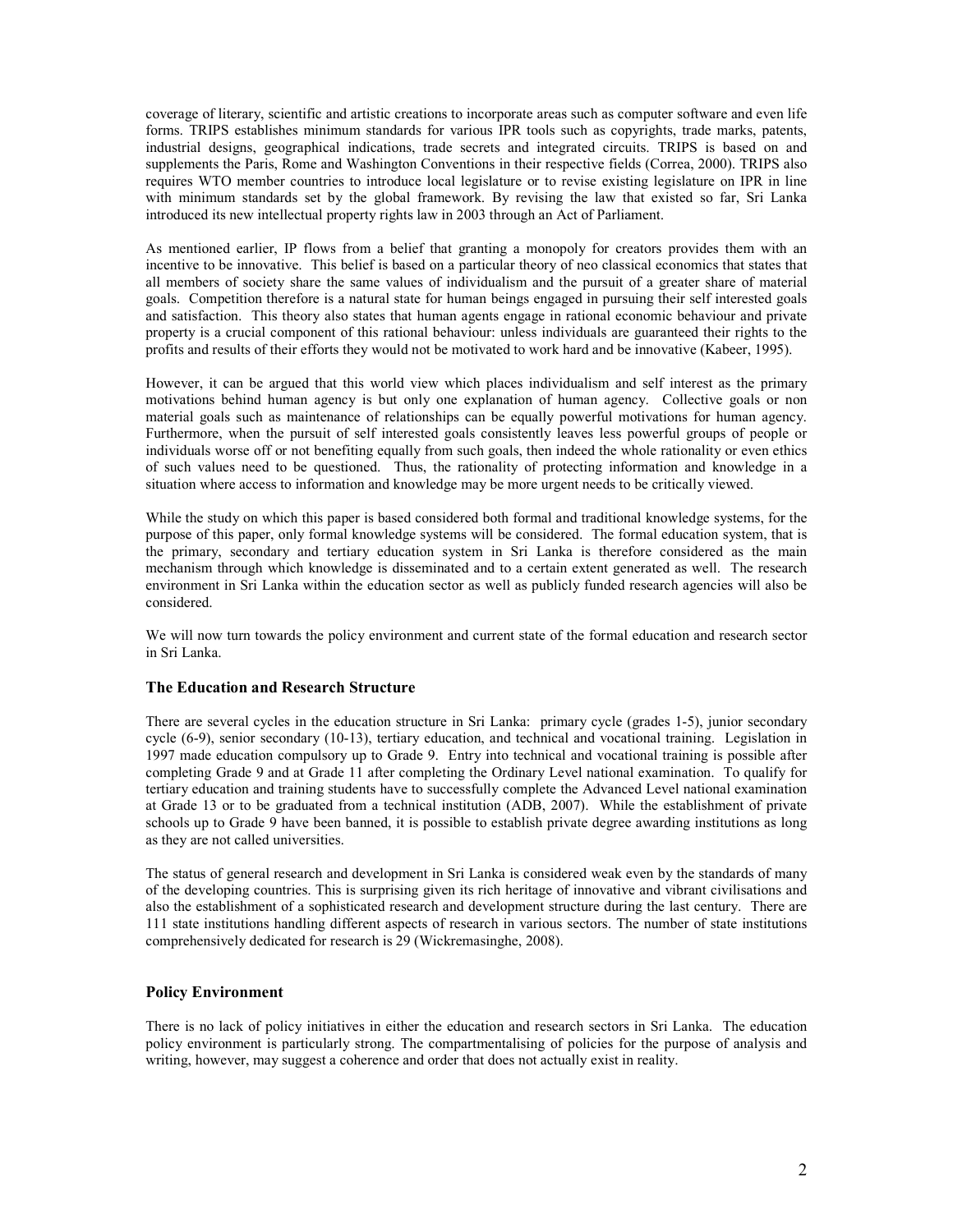coverage of literary, scientific and artistic creations to incorporate areas such as computer software and even life forms. TRIPS establishes minimum standards for various IPR tools such as copyrights, trade marks, patents, industrial designs, geographical indications, trade secrets and integrated circuits. TRIPS is based on and supplements the Paris, Rome and Washington Conventions in their respective fields (Correa, 2000). TRIPS also requires WTO member countries to introduce local legislature or to revise existing legislature on IPR in line with minimum standards set by the global framework. By revising the law that existed so far, Sri Lanka introduced its new intellectual property rights law in 2003 through an Act of Parliament.

As mentioned earlier, IP flows from a belief that granting a monopoly for creators provides them with an incentive to be innovative. This belief is based on a particular theory of neo classical economics that states that all members of society share the same values of individualism and the pursuit of a greater share of material goals. Competition therefore is a natural state for human beings engaged in pursuing their self interested goals and satisfaction. This theory also states that human agents engage in rational economic behaviour and private property is a crucial component of this rational behaviour: unless individuals are guaranteed their rights to the profits and results of their efforts they would not be motivated to work hard and be innovative (Kabeer, 1995).

However, it can be argued that this world view which places individualism and self interest as the primary motivations behind human agency is but only one explanation of human agency. Collective goals or non material goals such as maintenance of relationships can be equally powerful motivations for human agency. Furthermore, when the pursuit of self interested goals consistently leaves less powerful groups of people or individuals worse off or not benefiting equally from such goals, then indeed the whole rationality or even ethics of such values need to be questioned. Thus, the rationality of protecting information and knowledge in a situation where access to information and knowledge may be more urgent needs to be critically viewed.

While the study on which this paper is based considered both formal and traditional knowledge systems, for the purpose of this paper, only formal knowledge systems will be considered. The formal education system, that is the primary, secondary and tertiary education system in Sri Lanka is therefore considered as the main mechanism through which knowledge is disseminated and to a certain extent generated as well. The research environment in Sri Lanka within the education sector as well as publicly funded research agencies will also be considered.

We will now turn towards the policy environment and current state of the formal education and research sector in Sri Lanka.

## The Education and Research Structure

There are several cycles in the education structure in Sri Lanka: primary cycle (grades 1-5), junior secondary cycle (6-9), senior secondary (10-13), tertiary education, and technical and vocational training. Legislation in 1997 made education compulsory up to Grade 9. Entry into technical and vocational training is possible after completing Grade 9 and at Grade 11 after completing the Ordinary Level national examination. To qualify for tertiary education and training students have to successfully complete the Advanced Level national examination at Grade 13 or to be graduated from a technical institution (ADB, 2007). While the establishment of private schools up to Grade 9 have been banned, it is possible to establish private degree awarding institutions as long as they are not called universities.

The status of general research and development in Sri Lanka is considered weak even by the standards of many of the developing countries. This is surprising given its rich heritage of innovative and vibrant civilisations and also the establishment of a sophisticated research and development structure during the last century. There are 111 state institutions handling different aspects of research in various sectors. The number of state institutions comprehensively dedicated for research is 29 (Wickremasinghe, 2008).

## Policy Environment

There is no lack of policy initiatives in either the education and research sectors in Sri Lanka. The education policy environment is particularly strong. The compartmentalising of policies for the purpose of analysis and writing, however, may suggest a coherence and order that does not actually exist in reality.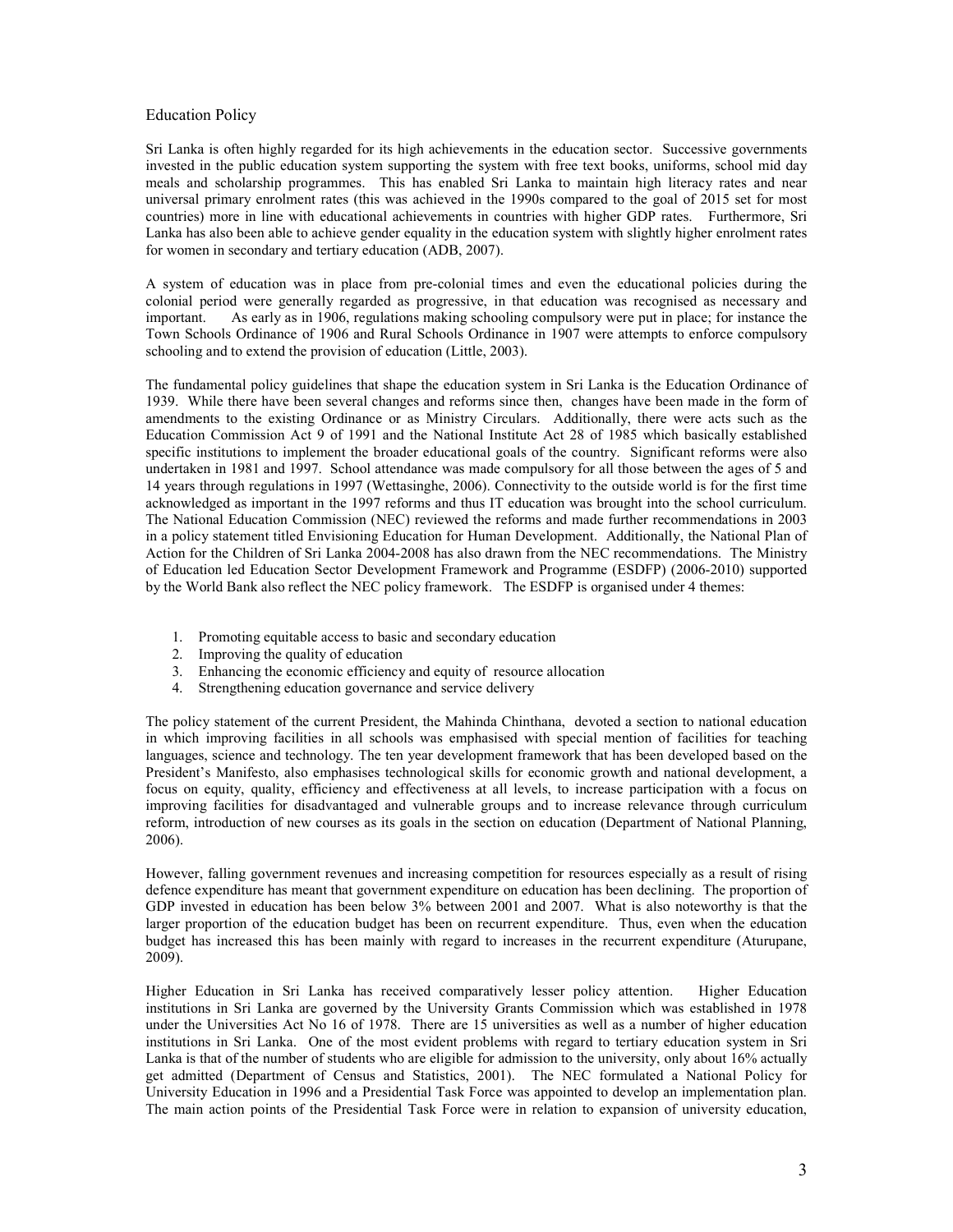#### Education Policy

Sri Lanka is often highly regarded for its high achievements in the education sector. Successive governments invested in the public education system supporting the system with free text books, uniforms, school mid day meals and scholarship programmes. This has enabled Sri Lanka to maintain high literacy rates and near universal primary enrolment rates (this was achieved in the 1990s compared to the goal of 2015 set for most countries) more in line with educational achievements in countries with higher GDP rates. Furthermore, Sri Lanka has also been able to achieve gender equality in the education system with slightly higher enrolment rates for women in secondary and tertiary education (ADB, 2007).

A system of education was in place from pre-colonial times and even the educational policies during the colonial period were generally regarded as progressive, in that education was recognised as necessary and important. As early as in 1906, regulations making schooling compulsory were put in place; for instance the Town Schools Ordinance of 1906 and Rural Schools Ordinance in 1907 were attempts to enforce compulsory schooling and to extend the provision of education (Little, 2003).

The fundamental policy guidelines that shape the education system in Sri Lanka is the Education Ordinance of 1939. While there have been several changes and reforms since then, changes have been made in the form of amendments to the existing Ordinance or as Ministry Circulars. Additionally, there were acts such as the Education Commission Act 9 of 1991 and the National Institute Act 28 of 1985 which basically established specific institutions to implement the broader educational goals of the country. Significant reforms were also undertaken in 1981 and 1997. School attendance was made compulsory for all those between the ages of 5 and 14 years through regulations in 1997 (Wettasinghe, 2006). Connectivity to the outside world is for the first time acknowledged as important in the 1997 reforms and thus IT education was brought into the school curriculum. The National Education Commission (NEC) reviewed the reforms and made further recommendations in 2003 in a policy statement titled Envisioning Education for Human Development. Additionally, the National Plan of Action for the Children of Sri Lanka 2004-2008 has also drawn from the NEC recommendations. The Ministry of Education led Education Sector Development Framework and Programme (ESDFP) (2006-2010) supported by the World Bank also reflect the NEC policy framework. The ESDFP is organised under 4 themes:

- 1. Promoting equitable access to basic and secondary education
- 2. Improving the quality of education
- 3. Enhancing the economic efficiency and equity of resource allocation
- 4. Strengthening education governance and service delivery

The policy statement of the current President, the Mahinda Chinthana, devoted a section to national education in which improving facilities in all schools was emphasised with special mention of facilities for teaching languages, science and technology. The ten year development framework that has been developed based on the President's Manifesto, also emphasises technological skills for economic growth and national development, a focus on equity, quality, efficiency and effectiveness at all levels, to increase participation with a focus on improving facilities for disadvantaged and vulnerable groups and to increase relevance through curriculum reform, introduction of new courses as its goals in the section on education (Department of National Planning, 2006).

However, falling government revenues and increasing competition for resources especially as a result of rising defence expenditure has meant that government expenditure on education has been declining. The proportion of GDP invested in education has been below 3% between 2001 and 2007. What is also noteworthy is that the larger proportion of the education budget has been on recurrent expenditure. Thus, even when the education budget has increased this has been mainly with regard to increases in the recurrent expenditure (Aturupane, 2009).

Higher Education in Sri Lanka has received comparatively lesser policy attention. Higher Education institutions in Sri Lanka are governed by the University Grants Commission which was established in 1978 under the Universities Act No 16 of 1978. There are 15 universities as well as a number of higher education institutions in Sri Lanka. One of the most evident problems with regard to tertiary education system in Sri Lanka is that of the number of students who are eligible for admission to the university, only about 16% actually get admitted (Department of Census and Statistics, 2001). The NEC formulated a National Policy for University Education in 1996 and a Presidential Task Force was appointed to develop an implementation plan. The main action points of the Presidential Task Force were in relation to expansion of university education,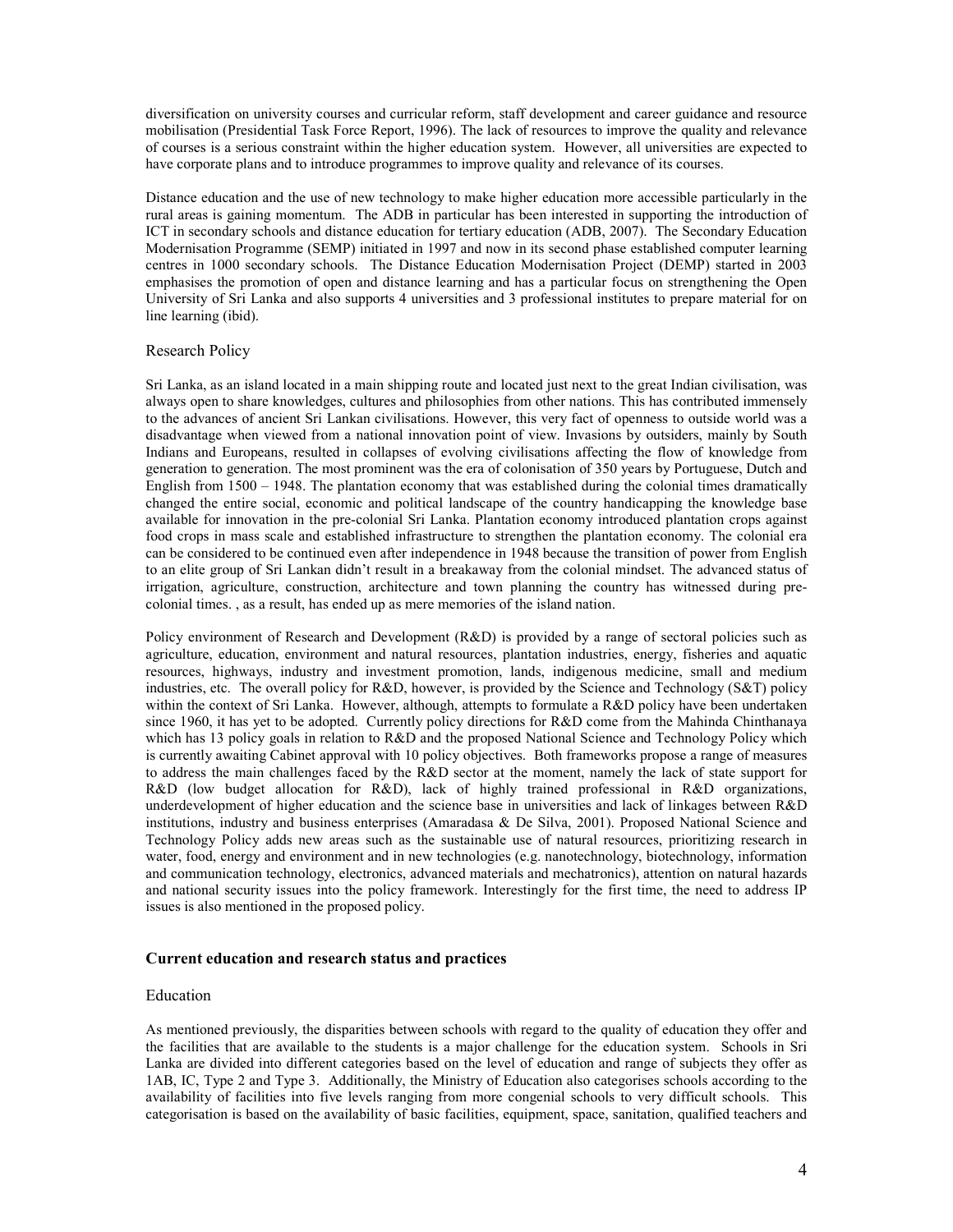diversification on university courses and curricular reform, staff development and career guidance and resource mobilisation (Presidential Task Force Report, 1996). The lack of resources to improve the quality and relevance of courses is a serious constraint within the higher education system. However, all universities are expected to have corporate plans and to introduce programmes to improve quality and relevance of its courses.

Distance education and the use of new technology to make higher education more accessible particularly in the rural areas is gaining momentum. The ADB in particular has been interested in supporting the introduction of ICT in secondary schools and distance education for tertiary education (ADB, 2007). The Secondary Education Modernisation Programme (SEMP) initiated in 1997 and now in its second phase established computer learning centres in 1000 secondary schools. The Distance Education Modernisation Project (DEMP) started in 2003 emphasises the promotion of open and distance learning and has a particular focus on strengthening the Open University of Sri Lanka and also supports 4 universities and 3 professional institutes to prepare material for on line learning (ibid).

#### Research Policy

Sri Lanka, as an island located in a main shipping route and located just next to the great Indian civilisation, was always open to share knowledges, cultures and philosophies from other nations. This has contributed immensely to the advances of ancient Sri Lankan civilisations. However, this very fact of openness to outside world was a disadvantage when viewed from a national innovation point of view. Invasions by outsiders, mainly by South Indians and Europeans, resulted in collapses of evolving civilisations affecting the flow of knowledge from generation to generation. The most prominent was the era of colonisation of 350 years by Portuguese, Dutch and English from 1500 – 1948. The plantation economy that was established during the colonial times dramatically changed the entire social, economic and political landscape of the country handicapping the knowledge base available for innovation in the pre-colonial Sri Lanka. Plantation economy introduced plantation crops against food crops in mass scale and established infrastructure to strengthen the plantation economy. The colonial era can be considered to be continued even after independence in 1948 because the transition of power from English to an elite group of Sri Lankan didn't result in a breakaway from the colonial mindset. The advanced status of irrigation, agriculture, construction, architecture and town planning the country has witnessed during precolonial times. , as a result, has ended up as mere memories of the island nation.

Policy environment of Research and Development (R&D) is provided by a range of sectoral policies such as agriculture, education, environment and natural resources, plantation industries, energy, fisheries and aquatic resources, highways, industry and investment promotion, lands, indigenous medicine, small and medium industries, etc. The overall policy for R&D, however, is provided by the Science and Technology (S&T) policy within the context of Sri Lanka. However, although, attempts to formulate a R&D policy have been undertaken since 1960, it has yet to be adopted. Currently policy directions for R&D come from the Mahinda Chinthanaya which has 13 policy goals in relation to R&D and the proposed National Science and Technology Policy which is currently awaiting Cabinet approval with 10 policy objectives. Both frameworks propose a range of measures to address the main challenges faced by the R&D sector at the moment, namely the lack of state support for R&D (low budget allocation for R&D), lack of highly trained professional in R&D organizations, underdevelopment of higher education and the science base in universities and lack of linkages between R&D institutions, industry and business enterprises (Amaradasa & De Silva, 2001). Proposed National Science and Technology Policy adds new areas such as the sustainable use of natural resources, prioritizing research in water, food, energy and environment and in new technologies (e.g. nanotechnology, biotechnology, information and communication technology, electronics, advanced materials and mechatronics), attention on natural hazards and national security issues into the policy framework. Interestingly for the first time, the need to address IP issues is also mentioned in the proposed policy.

#### Current education and research status and practices

#### Education

As mentioned previously, the disparities between schools with regard to the quality of education they offer and the facilities that are available to the students is a major challenge for the education system. Schools in Sri Lanka are divided into different categories based on the level of education and range of subjects they offer as 1AB, IC, Type 2 and Type 3. Additionally, the Ministry of Education also categorises schools according to the availability of facilities into five levels ranging from more congenial schools to very difficult schools. This categorisation is based on the availability of basic facilities, equipment, space, sanitation, qualified teachers and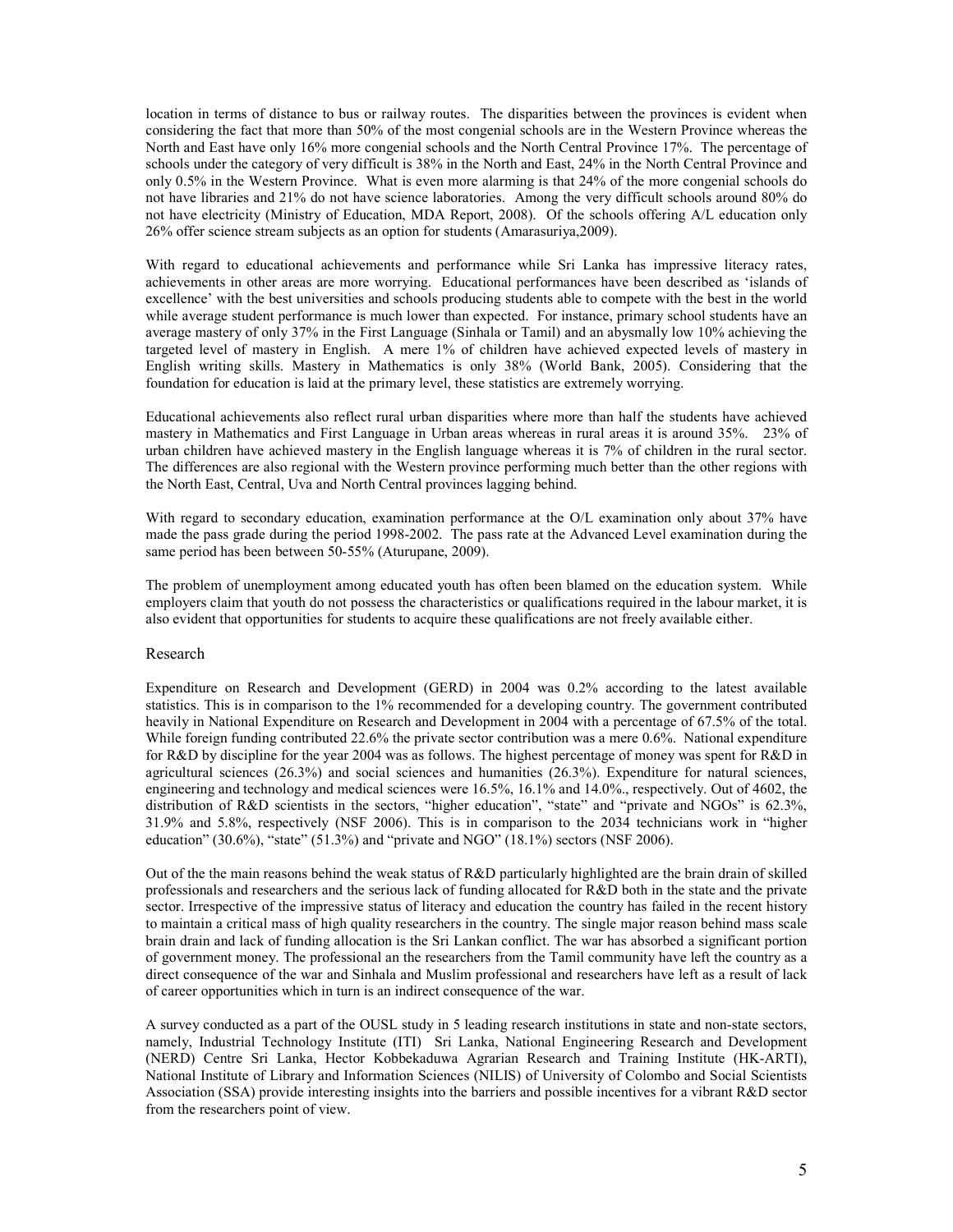location in terms of distance to bus or railway routes. The disparities between the provinces is evident when considering the fact that more than 50% of the most congenial schools are in the Western Province whereas the North and East have only 16% more congenial schools and the North Central Province 17%. The percentage of schools under the category of very difficult is 38% in the North and East, 24% in the North Central Province and only 0.5% in the Western Province. What is even more alarming is that 24% of the more congenial schools do not have libraries and 21% do not have science laboratories. Among the very difficult schools around 80% do not have electricity (Ministry of Education, MDA Report, 2008). Of the schools offering A/L education only 26% offer science stream subjects as an option for students (Amarasuriya,2009).

With regard to educational achievements and performance while Sri Lanka has impressive literacy rates, achievements in other areas are more worrying. Educational performances have been described as 'islands of excellence' with the best universities and schools producing students able to compete with the best in the world while average student performance is much lower than expected. For instance, primary school students have an average mastery of only 37% in the First Language (Sinhala or Tamil) and an abysmally low 10% achieving the targeted level of mastery in English. A mere 1% of children have achieved expected levels of mastery in English writing skills. Mastery in Mathematics is only 38% (World Bank, 2005). Considering that the foundation for education is laid at the primary level, these statistics are extremely worrying.

Educational achievements also reflect rural urban disparities where more than half the students have achieved mastery in Mathematics and First Language in Urban areas whereas in rural areas it is around 35%. 23% of urban children have achieved mastery in the English language whereas it is 7% of children in the rural sector. The differences are also regional with the Western province performing much better than the other regions with the North East, Central, Uva and North Central provinces lagging behind.

With regard to secondary education, examination performance at the O/L examination only about 37% have made the pass grade during the period 1998-2002. The pass rate at the Advanced Level examination during the same period has been between 50-55% (Aturupane, 2009).

The problem of unemployment among educated youth has often been blamed on the education system. While employers claim that youth do not possess the characteristics or qualifications required in the labour market, it is also evident that opportunities for students to acquire these qualifications are not freely available either.

#### Research

Expenditure on Research and Development (GERD) in 2004 was 0.2% according to the latest available statistics. This is in comparison to the 1% recommended for a developing country. The government contributed heavily in National Expenditure on Research and Development in 2004 with a percentage of 67.5% of the total. While foreign funding contributed 22.6% the private sector contribution was a mere 0.6%. National expenditure for R&D by discipline for the year 2004 was as follows. The highest percentage of money was spent for R&D in agricultural sciences (26.3%) and social sciences and humanities (26.3%). Expenditure for natural sciences, engineering and technology and medical sciences were 16.5%, 16.1% and 14.0%., respectively. Out of 4602, the distribution of R&D scientists in the sectors, "higher education", "state" and "private and NGOs" is 62.3%, 31.9% and 5.8%, respectively (NSF 2006). This is in comparison to the 2034 technicians work in "higher education" (30.6%), "state" (51.3%) and "private and NGO" (18.1%) sectors (NSF 2006).

Out of the the main reasons behind the weak status of R&D particularly highlighted are the brain drain of skilled professionals and researchers and the serious lack of funding allocated for R&D both in the state and the private sector. Irrespective of the impressive status of literacy and education the country has failed in the recent history to maintain a critical mass of high quality researchers in the country. The single major reason behind mass scale brain drain and lack of funding allocation is the Sri Lankan conflict. The war has absorbed a significant portion of government money. The professional an the researchers from the Tamil community have left the country as a direct consequence of the war and Sinhala and Muslim professional and researchers have left as a result of lack of career opportunities which in turn is an indirect consequence of the war.

A survey conducted as a part of the OUSL study in 5 leading research institutions in state and non-state sectors, namely, Industrial Technology Institute (ITI) Sri Lanka, National Engineering Research and Development (NERD) Centre Sri Lanka, Hector Kobbekaduwa Agrarian Research and Training Institute (HK-ARTI), National Institute of Library and Information Sciences (NILIS) of University of Colombo and Social Scientists Association (SSA) provide interesting insights into the barriers and possible incentives for a vibrant R&D sector from the researchers point of view.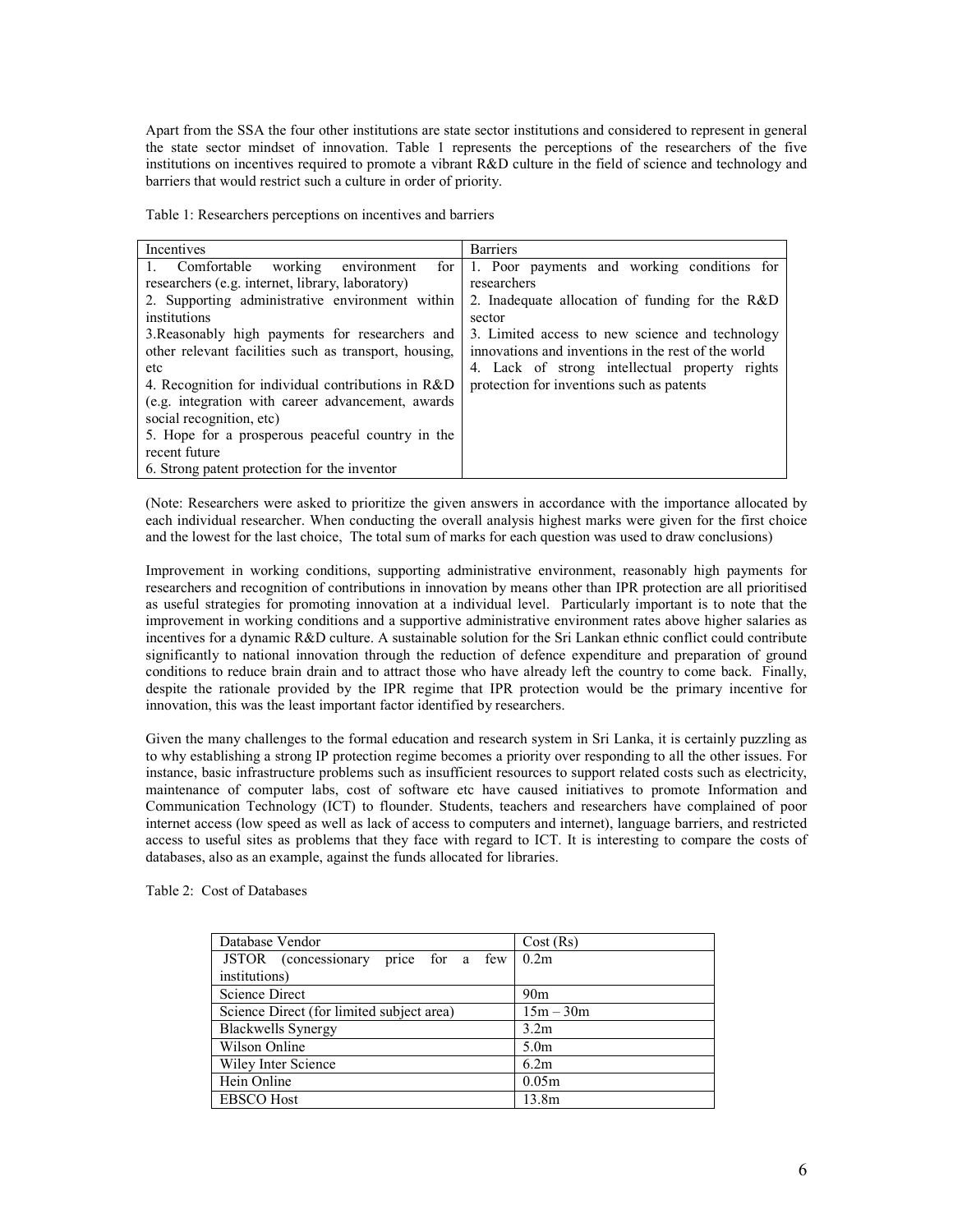Apart from the SSA the four other institutions are state sector institutions and considered to represent in general the state sector mindset of innovation. Table 1 represents the perceptions of the researchers of the five institutions on incentives required to promote a vibrant R&D culture in the field of science and technology and barriers that would restrict such a culture in order of priority.

Table 1: Researchers perceptions on incentives and barriers

| Incentives                                                  | <b>Barriers</b>                                     |  |  |  |
|-------------------------------------------------------------|-----------------------------------------------------|--|--|--|
| Comfortable working<br>$\mathbf{1}$ .<br>for<br>environment | 1. Poor payments and working conditions for         |  |  |  |
| researchers (e.g. internet, library, laboratory)            | researchers                                         |  |  |  |
| 2. Supporting administrative environment within             | 2. Inadequate allocation of funding for the R&D     |  |  |  |
| institutions                                                | sector                                              |  |  |  |
| 3. Reasonably high payments for researchers and             | 3. Limited access to new science and technology     |  |  |  |
| other relevant facilities such as transport, housing,       | innovations and inventions in the rest of the world |  |  |  |
| etc                                                         | 4. Lack of strong intellectual property rights      |  |  |  |
| 4. Recognition for individual contributions in R&D          | protection for inventions such as patents           |  |  |  |
| (e.g. integration with career advancement, awards)          |                                                     |  |  |  |
| social recognition, etc)                                    |                                                     |  |  |  |
| 5. Hope for a prosperous peaceful country in the            |                                                     |  |  |  |
| recent future                                               |                                                     |  |  |  |
| 6. Strong patent protection for the inventor                |                                                     |  |  |  |

(Note: Researchers were asked to prioritize the given answers in accordance with the importance allocated by each individual researcher. When conducting the overall analysis highest marks were given for the first choice and the lowest for the last choice, The total sum of marks for each question was used to draw conclusions)

Improvement in working conditions, supporting administrative environment, reasonably high payments for researchers and recognition of contributions in innovation by means other than IPR protection are all prioritised as useful strategies for promoting innovation at a individual level. Particularly important is to note that the improvement in working conditions and a supportive administrative environment rates above higher salaries as incentives for a dynamic R&D culture. A sustainable solution for the Sri Lankan ethnic conflict could contribute significantly to national innovation through the reduction of defence expenditure and preparation of ground conditions to reduce brain drain and to attract those who have already left the country to come back. Finally, despite the rationale provided by the IPR regime that IPR protection would be the primary incentive for innovation, this was the least important factor identified by researchers.

Given the many challenges to the formal education and research system in Sri Lanka, it is certainly puzzling as to why establishing a strong IP protection regime becomes a priority over responding to all the other issues. For instance, basic infrastructure problems such as insufficient resources to support related costs such as electricity, maintenance of computer labs, cost of software etc have caused initiatives to promote Information and Communication Technology (ICT) to flounder. Students, teachers and researchers have complained of poor internet access (low speed as well as lack of access to computers and internet), language barriers, and restricted access to useful sites as problems that they face with regard to ICT. It is interesting to compare the costs of databases, also as an example, against the funds allocated for libraries.

Table 2: Cost of Databases

| Database Vendor                           | Cost(Rs)         |
|-------------------------------------------|------------------|
| JSTOR (concessionary price for a few      | 0.2 <sub>m</sub> |
| institutions)                             |                  |
| Science Direct                            | 90 <sub>m</sub>  |
| Science Direct (for limited subject area) | $15m - 30m$      |
| <b>Blackwells Synergy</b>                 | 3.2 <sub>m</sub> |
| Wilson Online                             | 5.0 <sub>m</sub> |
| Wiley Inter Science                       | 6.2m             |
| Hein Online                               | 0.05m            |
| <b>EBSCO Host</b>                         | 13.8m            |
|                                           |                  |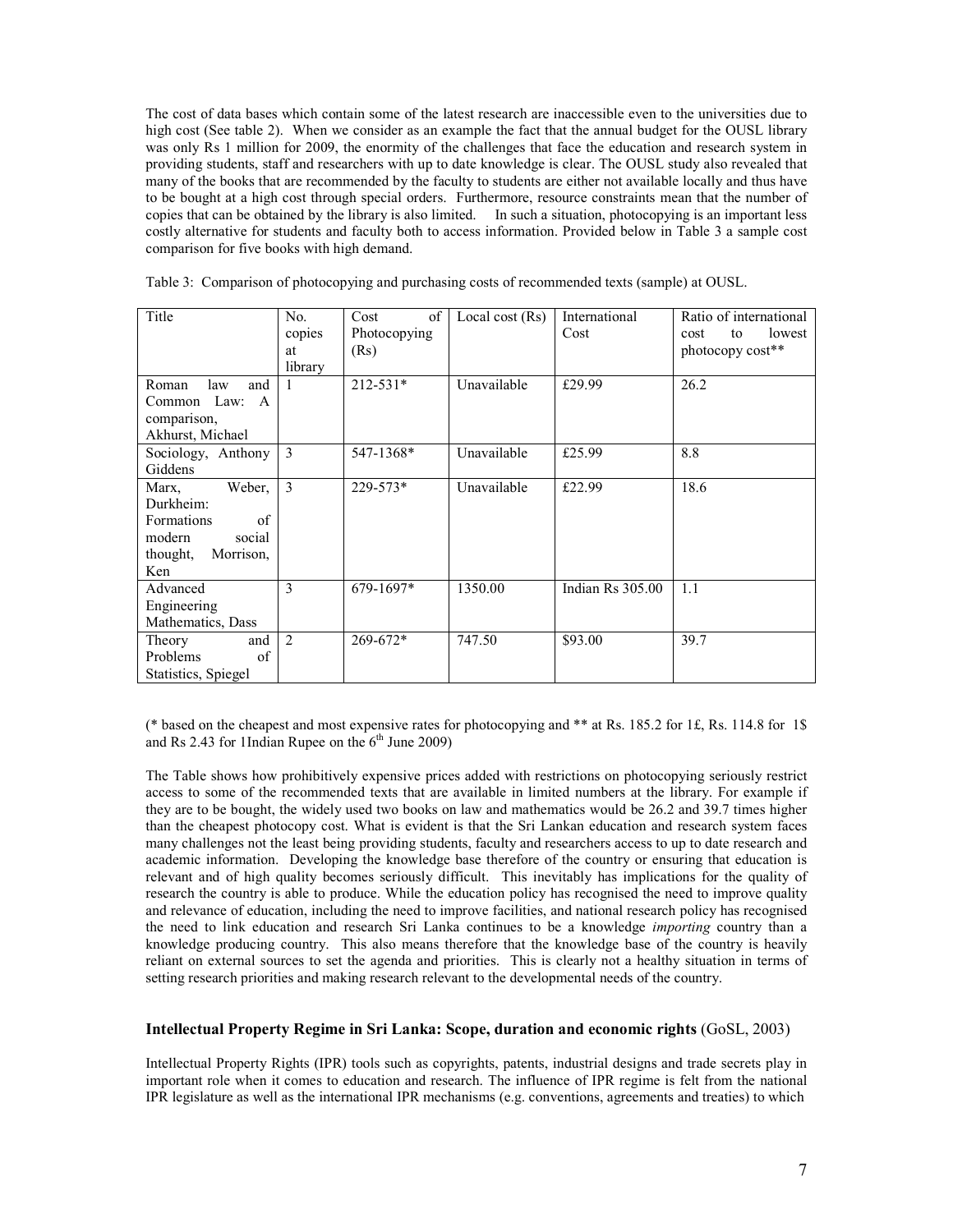The cost of data bases which contain some of the latest research are inaccessible even to the universities due to high cost (See table 2). When we consider as an example the fact that the annual budget for the OUSL library was only Rs 1 million for 2009, the enormity of the challenges that face the education and research system in providing students, staff and researchers with up to date knowledge is clear. The OUSL study also revealed that many of the books that are recommended by the faculty to students are either not available locally and thus have to be bought at a high cost through special orders. Furthermore, resource constraints mean that the number of copies that can be obtained by the library is also limited. In such a situation, photocopying is an important less costly alternative for students and faculty both to access information. Provided below in Table 3 a sample cost comparison for five books with high demand.

| Title                 | No.            | of<br>Cost   | Local cost $(Rs)$ | International    | Ratio of international |
|-----------------------|----------------|--------------|-------------------|------------------|------------------------|
|                       | copies         | Photocopying |                   | Cost             | lowest<br>cost<br>to   |
|                       | at             | (Rs)         |                   |                  | photocopy cost**       |
|                       | library        |              |                   |                  |                        |
| and<br>Roman<br>law   |                | $212 - 531*$ | Unavailable       | £29.99           | 26.2                   |
| Common Law:<br>A      |                |              |                   |                  |                        |
| comparison,           |                |              |                   |                  |                        |
| Akhurst, Michael      |                |              |                   |                  |                        |
| Sociology, Anthony    | 3              | 547-1368*    | Unavailable       | £25.99           | 8.8                    |
| Giddens               |                |              |                   |                  |                        |
| Weber,<br>Marx,       | 3              | 229-573*     | Unavailable       | £22.99           | 18.6                   |
| Durkheim:             |                |              |                   |                  |                        |
| of<br>Formations      |                |              |                   |                  |                        |
| modern<br>social      |                |              |                   |                  |                        |
| Morrison,<br>thought, |                |              |                   |                  |                        |
| Ken                   |                |              |                   |                  |                        |
| Advanced              | 3              | 679-1697*    | 1350.00           | Indian Rs 305.00 | 1.1                    |
| Engineering           |                |              |                   |                  |                        |
| Mathematics, Dass     |                |              |                   |                  |                        |
| Theory<br>and         | $\mathfrak{D}$ | $269 - 672*$ | 747.50            | \$93.00          | 39.7                   |
| Problems<br>of        |                |              |                   |                  |                        |
| Statistics, Spiegel   |                |              |                   |                  |                        |

Table 3: Comparison of photocopying and purchasing costs of recommended texts (sample) at OUSL.

(\* based on the cheapest and most expensive rates for photocopying and \*\* at Rs. 185.2 for 1£, Rs. 114.8 for 1\$ and Rs 2.43 for 1Indian Rupee on the  $6<sup>th</sup>$  June 2009)

The Table shows how prohibitively expensive prices added with restrictions on photocopying seriously restrict access to some of the recommended texts that are available in limited numbers at the library. For example if they are to be bought, the widely used two books on law and mathematics would be 26.2 and 39.7 times higher than the cheapest photocopy cost. What is evident is that the Sri Lankan education and research system faces many challenges not the least being providing students, faculty and researchers access to up to date research and academic information. Developing the knowledge base therefore of the country or ensuring that education is relevant and of high quality becomes seriously difficult. This inevitably has implications for the quality of research the country is able to produce. While the education policy has recognised the need to improve quality and relevance of education, including the need to improve facilities, and national research policy has recognised the need to link education and research Sri Lanka continues to be a knowledge importing country than a knowledge producing country. This also means therefore that the knowledge base of the country is heavily reliant on external sources to set the agenda and priorities. This is clearly not a healthy situation in terms of setting research priorities and making research relevant to the developmental needs of the country.

#### Intellectual Property Regime in Sri Lanka: Scope, duration and economic rights (GoSL, 2003)

Intellectual Property Rights (IPR) tools such as copyrights, patents, industrial designs and trade secrets play in important role when it comes to education and research. The influence of IPR regime is felt from the national IPR legislature as well as the international IPR mechanisms (e.g. conventions, agreements and treaties) to which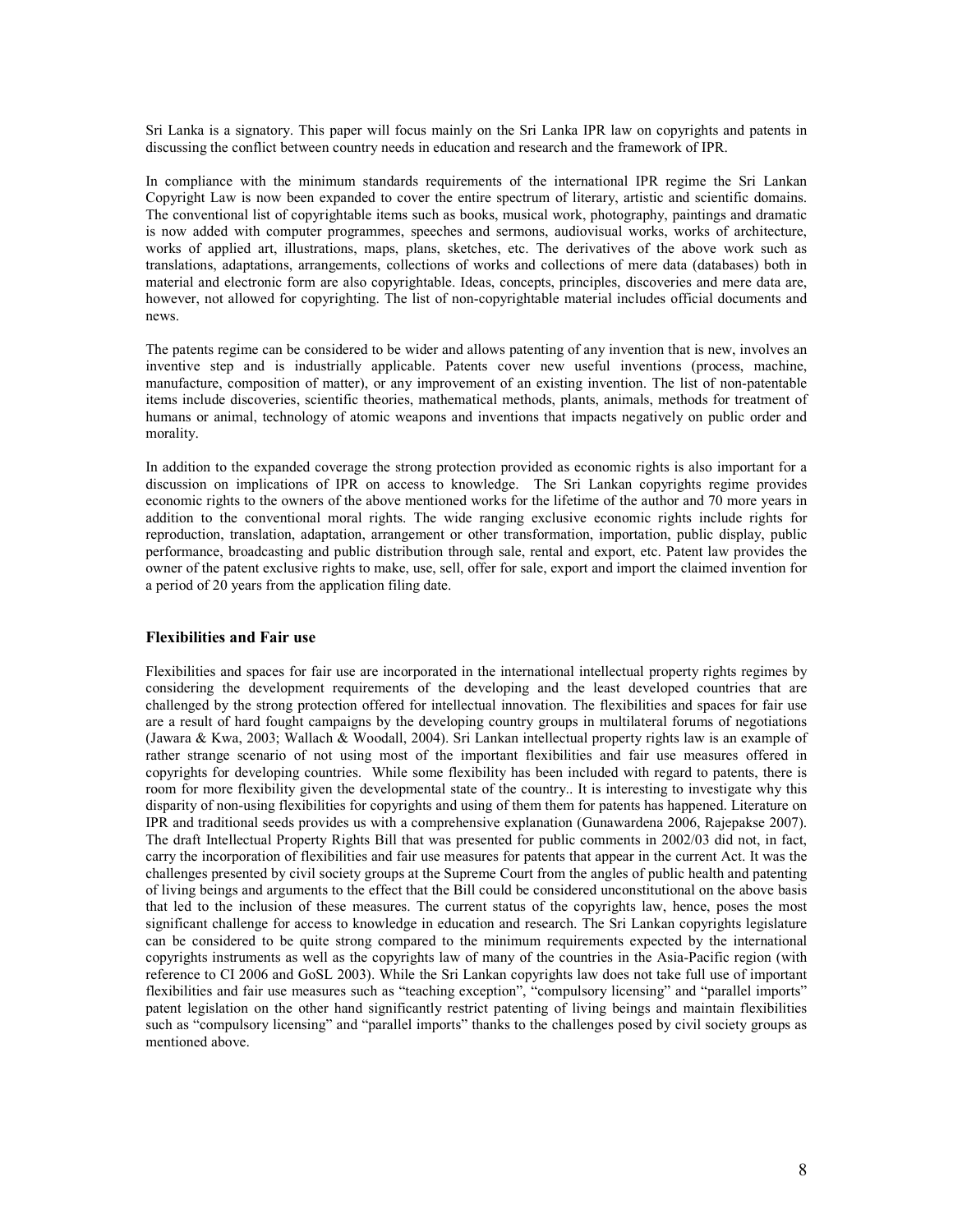Sri Lanka is a signatory. This paper will focus mainly on the Sri Lanka IPR law on copyrights and patents in discussing the conflict between country needs in education and research and the framework of IPR.

In compliance with the minimum standards requirements of the international IPR regime the Sri Lankan Copyright Law is now been expanded to cover the entire spectrum of literary, artistic and scientific domains. The conventional list of copyrightable items such as books, musical work, photography, paintings and dramatic is now added with computer programmes, speeches and sermons, audiovisual works, works of architecture, works of applied art, illustrations, maps, plans, sketches, etc. The derivatives of the above work such as translations, adaptations, arrangements, collections of works and collections of mere data (databases) both in material and electronic form are also copyrightable. Ideas, concepts, principles, discoveries and mere data are, however, not allowed for copyrighting. The list of non-copyrightable material includes official documents and news.

The patents regime can be considered to be wider and allows patenting of any invention that is new, involves an inventive step and is industrially applicable. Patents cover new useful inventions (process, machine, manufacture, composition of matter), or any improvement of an existing invention. The list of non-patentable items include discoveries, scientific theories, mathematical methods, plants, animals, methods for treatment of humans or animal, technology of atomic weapons and inventions that impacts negatively on public order and morality.

In addition to the expanded coverage the strong protection provided as economic rights is also important for a discussion on implications of IPR on access to knowledge. The Sri Lankan copyrights regime provides economic rights to the owners of the above mentioned works for the lifetime of the author and 70 more years in addition to the conventional moral rights. The wide ranging exclusive economic rights include rights for reproduction, translation, adaptation, arrangement or other transformation, importation, public display, public performance, broadcasting and public distribution through sale, rental and export, etc. Patent law provides the owner of the patent exclusive rights to make, use, sell, offer for sale, export and import the claimed invention for a period of 20 years from the application filing date.

#### Flexibilities and Fair use

Flexibilities and spaces for fair use are incorporated in the international intellectual property rights regimes by considering the development requirements of the developing and the least developed countries that are challenged by the strong protection offered for intellectual innovation. The flexibilities and spaces for fair use are a result of hard fought campaigns by the developing country groups in multilateral forums of negotiations (Jawara & Kwa, 2003; Wallach & Woodall, 2004). Sri Lankan intellectual property rights law is an example of rather strange scenario of not using most of the important flexibilities and fair use measures offered in copyrights for developing countries. While some flexibility has been included with regard to patents, there is room for more flexibility given the developmental state of the country.. It is interesting to investigate why this disparity of non-using flexibilities for copyrights and using of them them for patents has happened. Literature on IPR and traditional seeds provides us with a comprehensive explanation (Gunawardena 2006, Rajepakse 2007). The draft Intellectual Property Rights Bill that was presented for public comments in 2002/03 did not, in fact, carry the incorporation of flexibilities and fair use measures for patents that appear in the current Act. It was the challenges presented by civil society groups at the Supreme Court from the angles of public health and patenting of living beings and arguments to the effect that the Bill could be considered unconstitutional on the above basis that led to the inclusion of these measures. The current status of the copyrights law, hence, poses the most significant challenge for access to knowledge in education and research. The Sri Lankan copyrights legislature can be considered to be quite strong compared to the minimum requirements expected by the international copyrights instruments as well as the copyrights law of many of the countries in the Asia-Pacific region (with reference to CI 2006 and GoSL 2003). While the Sri Lankan copyrights law does not take full use of important flexibilities and fair use measures such as "teaching exception", "compulsory licensing" and "parallel imports" patent legislation on the other hand significantly restrict patenting of living beings and maintain flexibilities such as "compulsory licensing" and "parallel imports" thanks to the challenges posed by civil society groups as mentioned above.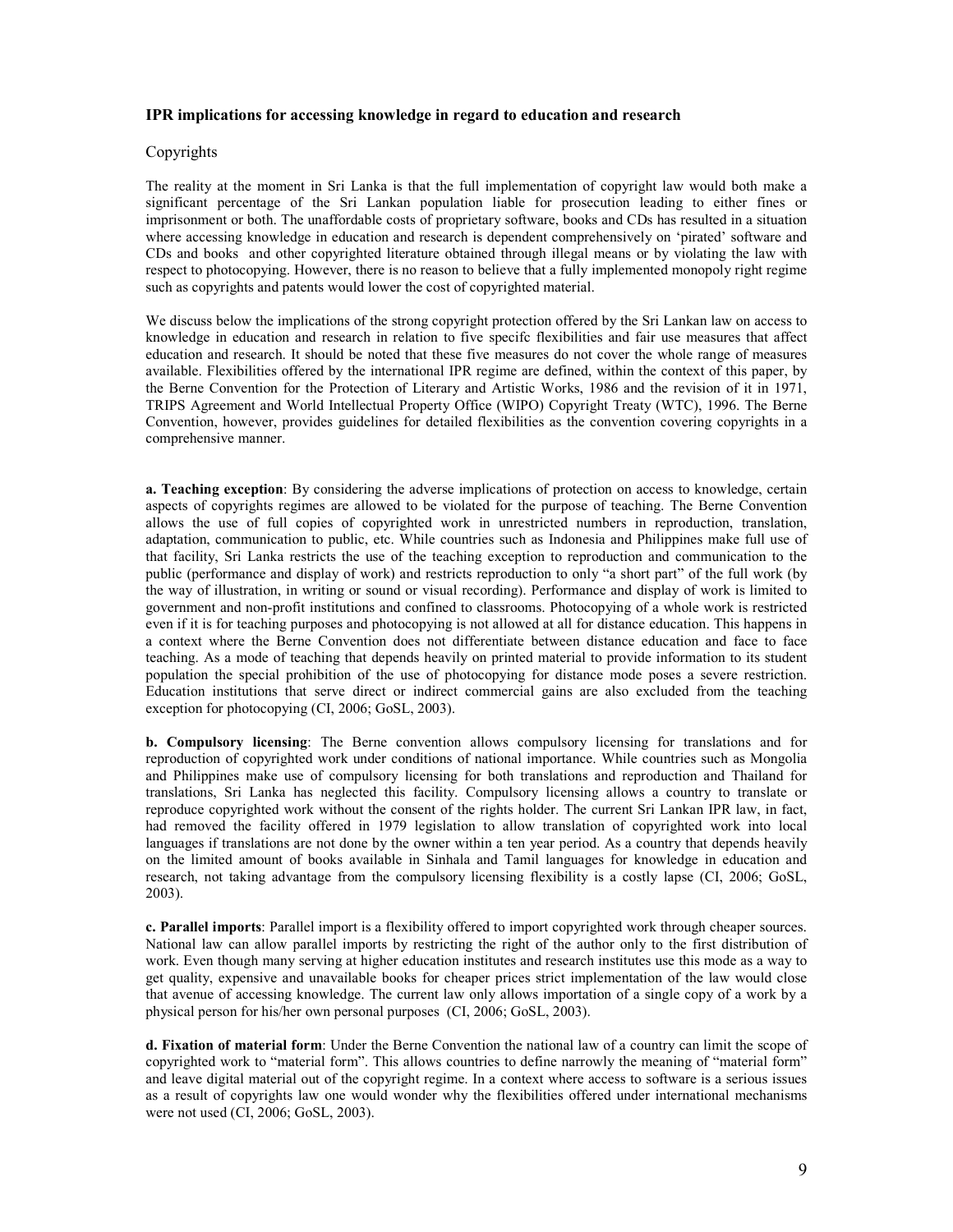## IPR implications for accessing knowledge in regard to education and research

## Copyrights

The reality at the moment in Sri Lanka is that the full implementation of copyright law would both make a significant percentage of the Sri Lankan population liable for prosecution leading to either fines or imprisonment or both. The unaffordable costs of proprietary software, books and CDs has resulted in a situation where accessing knowledge in education and research is dependent comprehensively on 'pirated' software and CDs and books and other copyrighted literature obtained through illegal means or by violating the law with respect to photocopying. However, there is no reason to believe that a fully implemented monopoly right regime such as copyrights and patents would lower the cost of copyrighted material.

We discuss below the implications of the strong copyright protection offered by the Sri Lankan law on access to knowledge in education and research in relation to five specifc flexibilities and fair use measures that affect education and research. It should be noted that these five measures do not cover the whole range of measures available. Flexibilities offered by the international IPR regime are defined, within the context of this paper, by the Berne Convention for the Protection of Literary and Artistic Works, 1986 and the revision of it in 1971, TRIPS Agreement and World Intellectual Property Office (WIPO) Copyright Treaty (WTC), 1996. The Berne Convention, however, provides guidelines for detailed flexibilities as the convention covering copyrights in a comprehensive manner.

a. Teaching exception: By considering the adverse implications of protection on access to knowledge, certain aspects of copyrights regimes are allowed to be violated for the purpose of teaching. The Berne Convention allows the use of full copies of copyrighted work in unrestricted numbers in reproduction, translation, adaptation, communication to public, etc. While countries such as Indonesia and Philippines make full use of that facility, Sri Lanka restricts the use of the teaching exception to reproduction and communication to the public (performance and display of work) and restricts reproduction to only "a short part" of the full work (by the way of illustration, in writing or sound or visual recording). Performance and display of work is limited to government and non-profit institutions and confined to classrooms. Photocopying of a whole work is restricted even if it is for teaching purposes and photocopying is not allowed at all for distance education. This happens in a context where the Berne Convention does not differentiate between distance education and face to face teaching. As a mode of teaching that depends heavily on printed material to provide information to its student population the special prohibition of the use of photocopying for distance mode poses a severe restriction. Education institutions that serve direct or indirect commercial gains are also excluded from the teaching exception for photocopying (CI, 2006; GoSL, 2003).

b. Compulsory licensing: The Berne convention allows compulsory licensing for translations and for reproduction of copyrighted work under conditions of national importance. While countries such as Mongolia and Philippines make use of compulsory licensing for both translations and reproduction and Thailand for translations, Sri Lanka has neglected this facility. Compulsory licensing allows a country to translate or reproduce copyrighted work without the consent of the rights holder. The current Sri Lankan IPR law, in fact, had removed the facility offered in 1979 legislation to allow translation of copyrighted work into local languages if translations are not done by the owner within a ten year period. As a country that depends heavily on the limited amount of books available in Sinhala and Tamil languages for knowledge in education and research, not taking advantage from the compulsory licensing flexibility is a costly lapse (CI, 2006; GoSL, 2003).

c. Parallel imports: Parallel import is a flexibility offered to import copyrighted work through cheaper sources. National law can allow parallel imports by restricting the right of the author only to the first distribution of work. Even though many serving at higher education institutes and research institutes use this mode as a way to get quality, expensive and unavailable books for cheaper prices strict implementation of the law would close that avenue of accessing knowledge. The current law only allows importation of a single copy of a work by a physical person for his/her own personal purposes (CI, 2006; GoSL, 2003).

d. Fixation of material form: Under the Berne Convention the national law of a country can limit the scope of copyrighted work to "material form". This allows countries to define narrowly the meaning of "material form" and leave digital material out of the copyright regime. In a context where access to software is a serious issues as a result of copyrights law one would wonder why the flexibilities offered under international mechanisms were not used (CI, 2006; GoSL, 2003).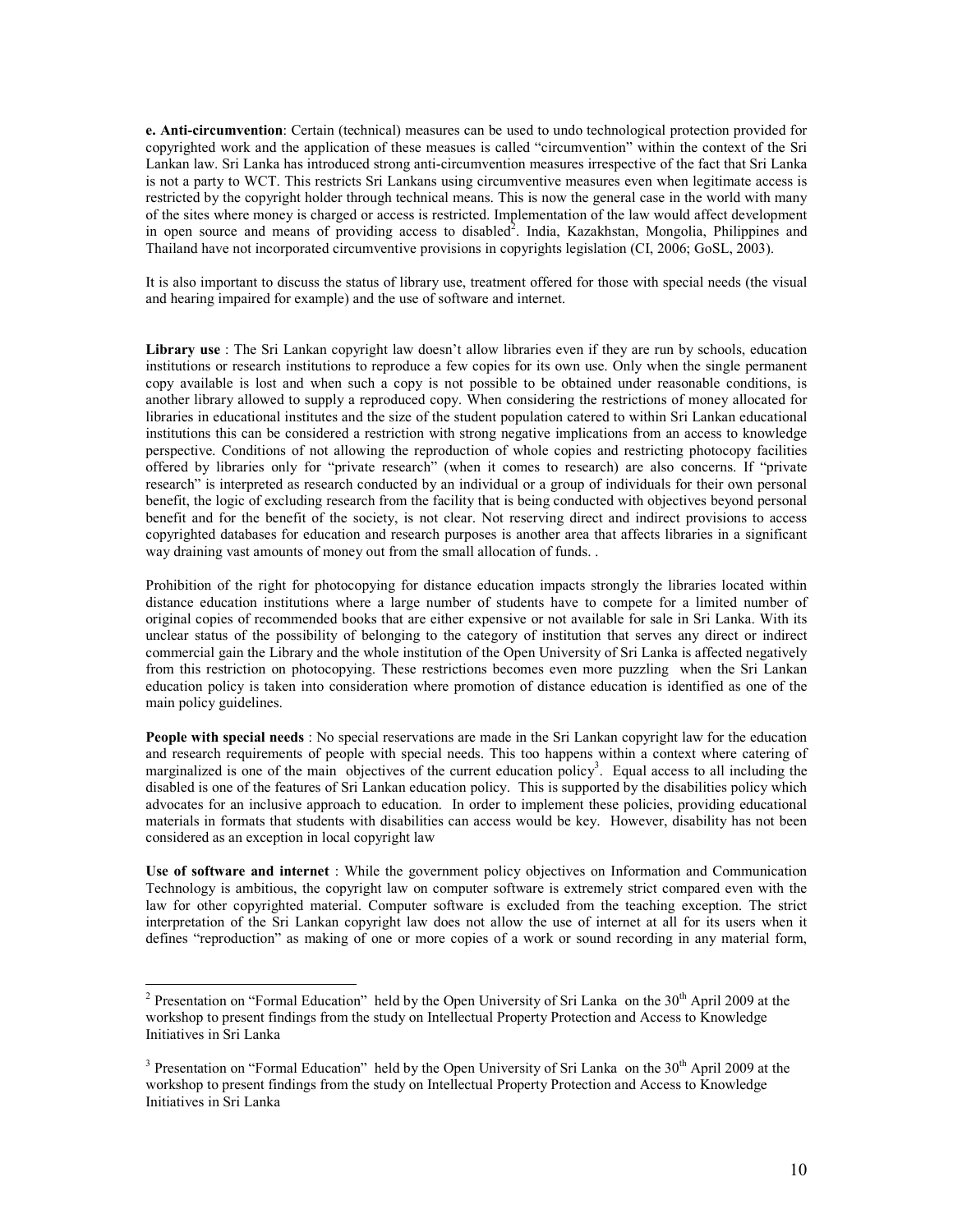e. Anti-circumvention: Certain (technical) measures can be used to undo technological protection provided for copyrighted work and the application of these measues is called "circumvention" within the context of the Sri Lankan law. Sri Lanka has introduced strong anti-circumvention measures irrespective of the fact that Sri Lanka is not a party to WCT. This restricts Sri Lankans using circumventive measures even when legitimate access is restricted by the copyright holder through technical means. This is now the general case in the world with many of the sites where money is charged or access is restricted. Implementation of the law would affect development in open source and means of providing access to disabled<sup>2</sup>. India, Kazakhstan, Mongolia, Philippines and Thailand have not incorporated circumventive provisions in copyrights legislation (CI, 2006; GoSL, 2003).

It is also important to discuss the status of library use, treatment offered for those with special needs (the visual and hearing impaired for example) and the use of software and internet.

Library use : The Sri Lankan copyright law doesn't allow libraries even if they are run by schools, education institutions or research institutions to reproduce a few copies for its own use. Only when the single permanent copy available is lost and when such a copy is not possible to be obtained under reasonable conditions, is another library allowed to supply a reproduced copy. When considering the restrictions of money allocated for libraries in educational institutes and the size of the student population catered to within Sri Lankan educational institutions this can be considered a restriction with strong negative implications from an access to knowledge perspective. Conditions of not allowing the reproduction of whole copies and restricting photocopy facilities offered by libraries only for "private research" (when it comes to research) are also concerns. If "private research" is interpreted as research conducted by an individual or a group of individuals for their own personal benefit, the logic of excluding research from the facility that is being conducted with objectives beyond personal benefit and for the benefit of the society, is not clear. Not reserving direct and indirect provisions to access copyrighted databases for education and research purposes is another area that affects libraries in a significant way draining vast amounts of money out from the small allocation of funds. .

Prohibition of the right for photocopying for distance education impacts strongly the libraries located within distance education institutions where a large number of students have to compete for a limited number of original copies of recommended books that are either expensive or not available for sale in Sri Lanka. With its unclear status of the possibility of belonging to the category of institution that serves any direct or indirect commercial gain the Library and the whole institution of the Open University of Sri Lanka is affected negatively from this restriction on photocopying. These restrictions becomes even more puzzling when the Sri Lankan education policy is taken into consideration where promotion of distance education is identified as one of the main policy guidelines.

People with special needs : No special reservations are made in the Sri Lankan copyright law for the education and research requirements of people with special needs. This too happens within a context where catering of marginalized is one of the main objectives of the current education policy<sup>3</sup>. Equal access to all including the disabled is one of the features of Sri Lankan education policy. This is supported by the disabilities policy which advocates for an inclusive approach to education. In order to implement these policies, providing educational materials in formats that students with disabilities can access would be key. However, disability has not been considered as an exception in local copyright law

Use of software and internet : While the government policy objectives on Information and Communication Technology is ambitious, the copyright law on computer software is extremely strict compared even with the law for other copyrighted material. Computer software is excluded from the teaching exception. The strict interpretation of the Sri Lankan copyright law does not allow the use of internet at all for its users when it defines "reproduction" as making of one or more copies of a work or sound recording in any material form,

 $\overline{a}$ 

<sup>&</sup>lt;sup>2</sup> Presentation on "Formal Education" held by the Open University of Sri Lanka on the  $30<sup>th</sup>$  April 2009 at the workshop to present findings from the study on Intellectual Property Protection and Access to Knowledge Initiatives in Sri Lanka

<sup>&</sup>lt;sup>3</sup> Presentation on "Formal Education" held by the Open University of Sri Lanka on the  $30<sup>th</sup>$  April 2009 at the workshop to present findings from the study on Intellectual Property Protection and Access to Knowledge Initiatives in Sri Lanka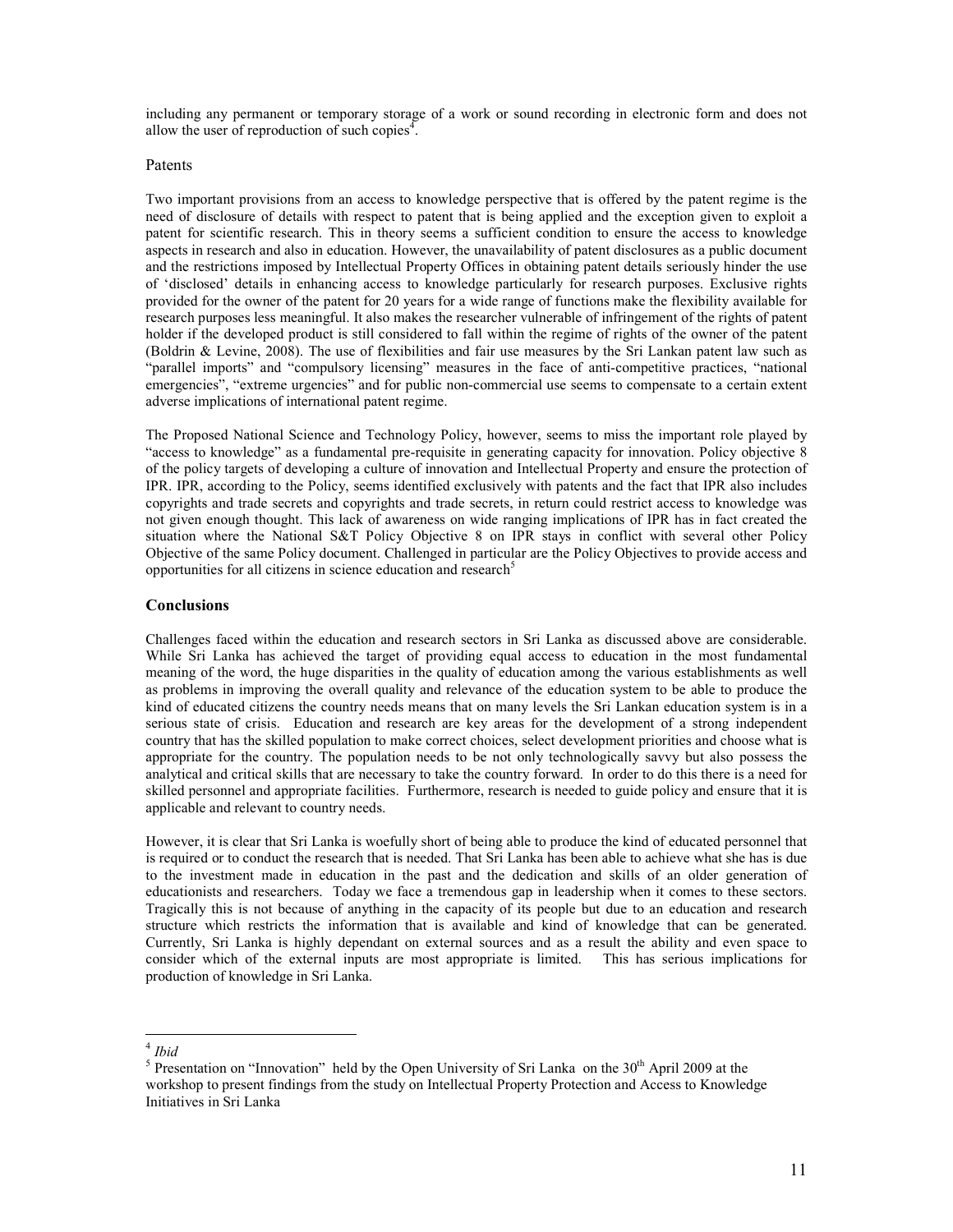including any permanent or temporary storage of a work or sound recording in electronic form and does not allow the user of reproduction of such copies $4$ .

#### Patents

Two important provisions from an access to knowledge perspective that is offered by the patent regime is the need of disclosure of details with respect to patent that is being applied and the exception given to exploit a patent for scientific research. This in theory seems a sufficient condition to ensure the access to knowledge aspects in research and also in education. However, the unavailability of patent disclosures as a public document and the restrictions imposed by Intellectual Property Offices in obtaining patent details seriously hinder the use of 'disclosed' details in enhancing access to knowledge particularly for research purposes. Exclusive rights provided for the owner of the patent for 20 years for a wide range of functions make the flexibility available for research purposes less meaningful. It also makes the researcher vulnerable of infringement of the rights of patent holder if the developed product is still considered to fall within the regime of rights of the owner of the patent (Boldrin & Levine, 2008). The use of flexibilities and fair use measures by the Sri Lankan patent law such as "parallel imports" and "compulsory licensing" measures in the face of anti-competitive practices, "national emergencies", "extreme urgencies" and for public non-commercial use seems to compensate to a certain extent adverse implications of international patent regime.

The Proposed National Science and Technology Policy, however, seems to miss the important role played by "access to knowledge" as a fundamental pre-requisite in generating capacity for innovation. Policy objective 8 of the policy targets of developing a culture of innovation and Intellectual Property and ensure the protection of IPR. IPR, according to the Policy, seems identified exclusively with patents and the fact that IPR also includes copyrights and trade secrets and copyrights and trade secrets, in return could restrict access to knowledge was not given enough thought. This lack of awareness on wide ranging implications of IPR has in fact created the situation where the National S&T Policy Objective 8 on IPR stays in conflict with several other Policy Objective of the same Policy document. Challenged in particular are the Policy Objectives to provide access and opportunities for all citizens in science education and research<sup>5</sup>

#### Conclusions

Challenges faced within the education and research sectors in Sri Lanka as discussed above are considerable. While Sri Lanka has achieved the target of providing equal access to education in the most fundamental meaning of the word, the huge disparities in the quality of education among the various establishments as well as problems in improving the overall quality and relevance of the education system to be able to produce the kind of educated citizens the country needs means that on many levels the Sri Lankan education system is in a serious state of crisis. Education and research are key areas for the development of a strong independent country that has the skilled population to make correct choices, select development priorities and choose what is appropriate for the country. The population needs to be not only technologically savvy but also possess the analytical and critical skills that are necessary to take the country forward. In order to do this there is a need for skilled personnel and appropriate facilities. Furthermore, research is needed to guide policy and ensure that it is applicable and relevant to country needs.

However, it is clear that Sri Lanka is woefully short of being able to produce the kind of educated personnel that is required or to conduct the research that is needed. That Sri Lanka has been able to achieve what she has is due to the investment made in education in the past and the dedication and skills of an older generation of educationists and researchers. Today we face a tremendous gap in leadership when it comes to these sectors. Tragically this is not because of anything in the capacity of its people but due to an education and research structure which restricts the information that is available and kind of knowledge that can be generated. Currently, Sri Lanka is highly dependant on external sources and as a result the ability and even space to consider which of the external inputs are most appropriate is limited. This has serious implications for production of knowledge in Sri Lanka.

 4 Ibid

<sup>&</sup>lt;sup>5</sup> Presentation on "Innovation" held by the Open University of Sri Lanka on the  $30<sup>th</sup>$  April 2009 at the workshop to present findings from the study on Intellectual Property Protection and Access to Knowledge Initiatives in Sri Lanka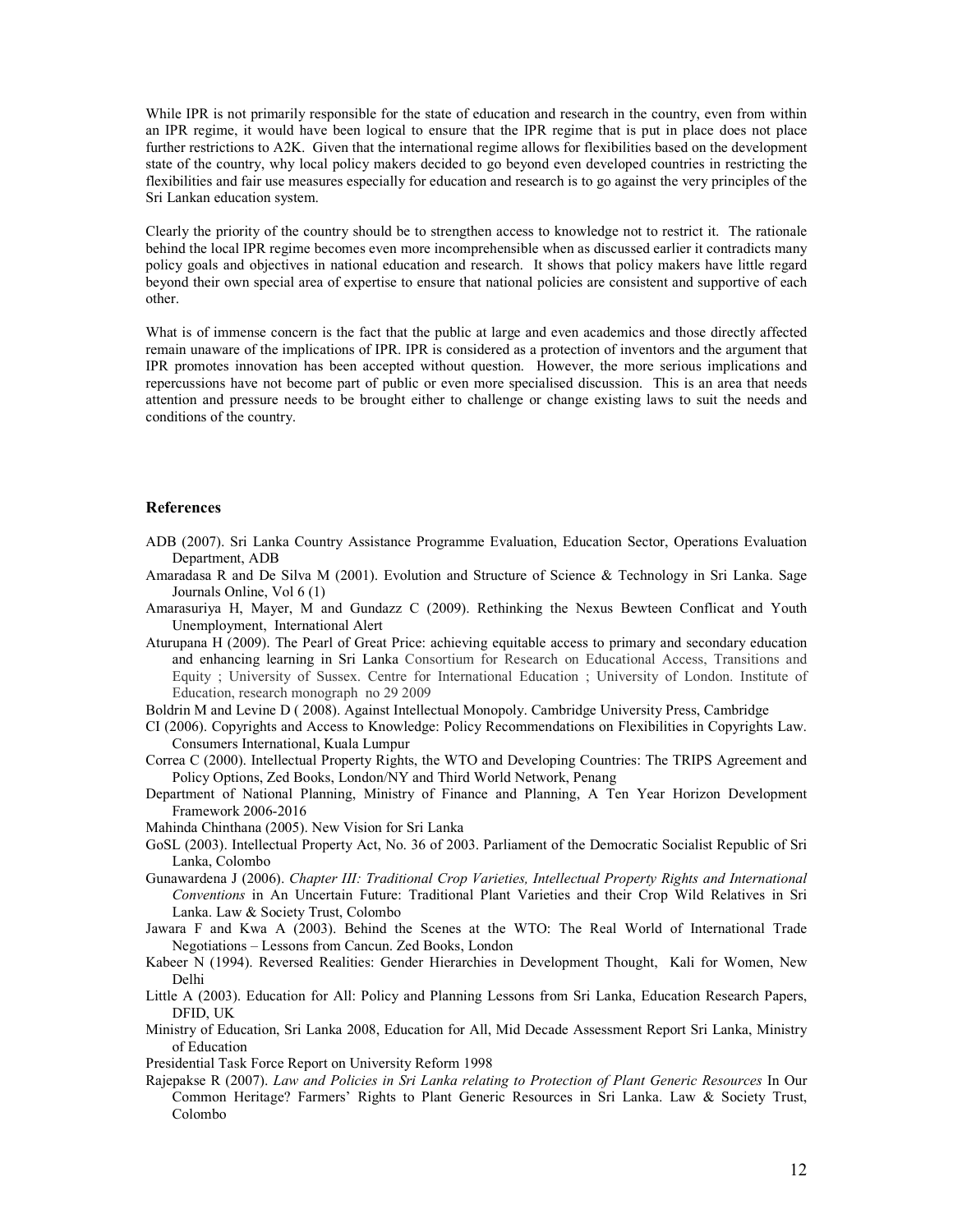While IPR is not primarily responsible for the state of education and research in the country, even from within an IPR regime, it would have been logical to ensure that the IPR regime that is put in place does not place further restrictions to A2K. Given that the international regime allows for flexibilities based on the development state of the country, why local policy makers decided to go beyond even developed countries in restricting the flexibilities and fair use measures especially for education and research is to go against the very principles of the Sri Lankan education system.

Clearly the priority of the country should be to strengthen access to knowledge not to restrict it. The rationale behind the local IPR regime becomes even more incomprehensible when as discussed earlier it contradicts many policy goals and objectives in national education and research. It shows that policy makers have little regard beyond their own special area of expertise to ensure that national policies are consistent and supportive of each other.

What is of immense concern is the fact that the public at large and even academics and those directly affected remain unaware of the implications of IPR. IPR is considered as a protection of inventors and the argument that IPR promotes innovation has been accepted without question. However, the more serious implications and repercussions have not become part of public or even more specialised discussion. This is an area that needs attention and pressure needs to be brought either to challenge or change existing laws to suit the needs and conditions of the country.

#### References

- ADB (2007). Sri Lanka Country Assistance Programme Evaluation, Education Sector, Operations Evaluation Department, ADB
- Amaradasa R and De Silva M (2001). Evolution and Structure of Science & Technology in Sri Lanka. Sage Journals Online, Vol 6 (1)
- Amarasuriya H, Mayer, M and Gundazz C (2009). Rethinking the Nexus Bewteen Conflicat and Youth Unemployment, International Alert
- Aturupana H (2009). The Pearl of Great Price: achieving equitable access to primary and secondary education and enhancing learning in Sri Lanka Consortium for Research on Educational Access, Transitions and Equity ; University of Sussex. Centre for International Education ; University of London. Institute of Education, research monograph no 29 2009
- Boldrin M and Levine D ( 2008). Against Intellectual Monopoly. Cambridge University Press, Cambridge
- CI (2006). Copyrights and Access to Knowledge: Policy Recommendations on Flexibilities in Copyrights Law. Consumers International, Kuala Lumpur
- Correa C (2000). Intellectual Property Rights, the WTO and Developing Countries: The TRIPS Agreement and Policy Options, Zed Books, London/NY and Third World Network, Penang
- Department of National Planning, Ministry of Finance and Planning, A Ten Year Horizon Development Framework 2006-2016
- Mahinda Chinthana (2005). New Vision for Sri Lanka
- GoSL (2003). Intellectual Property Act, No. 36 of 2003. Parliament of the Democratic Socialist Republic of Sri Lanka, Colombo
- Gunawardena J (2006). Chapter III: Traditional Crop Varieties, Intellectual Property Rights and International Conventions in An Uncertain Future: Traditional Plant Varieties and their Crop Wild Relatives in Sri Lanka. Law & Society Trust, Colombo
- Jawara F and Kwa A (2003). Behind the Scenes at the WTO: The Real World of International Trade Negotiations – Lessons from Cancun. Zed Books, London
- Kabeer N (1994). Reversed Realities: Gender Hierarchies in Development Thought, Kali for Women, New Delhi
- Little A (2003). Education for All: Policy and Planning Lessons from Sri Lanka, Education Research Papers, DFID, UK
- Ministry of Education, Sri Lanka 2008, Education for All, Mid Decade Assessment Report Sri Lanka, Ministry of Education

Presidential Task Force Report on University Reform 1998

Rajepakse R (2007). Law and Policies in Sri Lanka relating to Protection of Plant Generic Resources In Our Common Heritage? Farmers' Rights to Plant Generic Resources in Sri Lanka. Law & Society Trust, Colombo